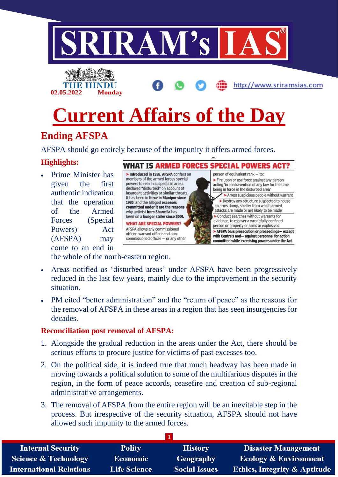

# **Ending AFSPA**

AFSPA should go entirely because of the impunity it offers armed forces.

## **Highlights:**

• Prime Minister has given the first authentic indication that the operation of the Armed Forces (Special Powers) Act (AFSPA) may come to an end in



WHAT IS ARMED FORCES SPECIAL POWERS ACT?

acting 'in contravention of any law for the time being in force in the disturbed area' > Arrest suspicious people without warrant >Destroy any structure suspected to house an arms dump, shelter from which armed attacks are made or are likely to be made Conduct searches without warrants for evidence, to recover a wrongfully confined person or property or arms or explosives > AFSPA bars prosecution or proceedings- except with Centre's nod- against personnel for action committed while exercising powers under the Act

the whole of the north-eastern region.

- Areas notified as 'disturbed areas' under AFSPA have been progressively reduced in the last few years, mainly due to the improvement in the security situation.
- PM cited "better administration" and the "return of peace" as the reasons for the removal of AFSPA in these areas in a region that has seen insurgencies for decades.

## **Reconciliation post removal of AFSPA:**

- 1. Alongside the gradual reduction in the areas under the Act, there should be serious efforts to procure justice for victims of past excesses too.
- 2. On the political side, it is indeed true that much headway has been made in moving towards a political solution to some of the multifarious disputes in the region, in the form of peace accords, ceasefire and creation of sub-regional administrative arrangements.
- 3. The removal of AFSPA from the entire region will be an inevitable step in the process. But irrespective of the security situation, AFSPA should not have allowed such impunity to the armed forces.

| <b>Internal Security</b>        | <b>Polity</b>       | <b>History</b>       | <b>Disaster Management</b>              |
|---------------------------------|---------------------|----------------------|-----------------------------------------|
| <b>Science &amp; Technology</b> | Economic            | Geography            | <b>Ecology &amp; Environment</b>        |
| <b>International Relations</b>  | <b>Life Science</b> | <b>Social Issues</b> | <b>Ethics, Integrity &amp; Aptitude</b> |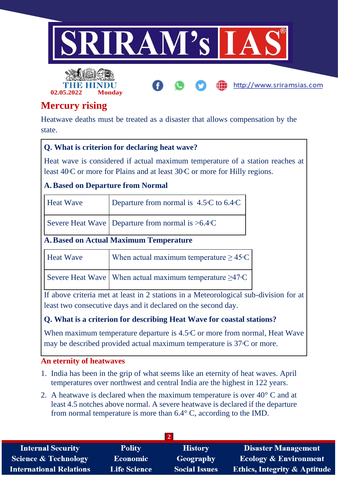

http://www.sriramsias.com



# **Mercury rising**

Heatwave deaths must be treated as a disaster that allows compensation by the state.

## **Q. What is criterion for declaring heat wave?**

Heat wave is considered if actual maximum temperature of a station reaches at least  $40^{\circ}$ C or more for Plains and at least  $30^{\circ}$ C or more for Hilly regions.

## **A.Based on Departure from Normal**

| <b>Heat Wave</b>                              | Departure from normal is $4.5^{\circ}$ C to 6.4 $\circ$ C                   |  |  |
|-----------------------------------------------|-----------------------------------------------------------------------------|--|--|
|                                               | Severe Heat Wave   Departure from normal is $>6.4$ °C                       |  |  |
| <b>A. Based on Actual Maximum Temperature</b> |                                                                             |  |  |
| <b>Heat Wave</b>                              | When actual maximum temperature $\geq 45^{\circ}C$                          |  |  |
|                                               | Severe Heat Wave   When actual maximum temperature $\geq$ 47 <sup>°</sup> C |  |  |

If above criteria met at least in 2 stations in a Meteorological sub-division for at least two consecutive days and it declared on the second day.

## **Q. What is a criterion for describing Heat Wave for coastal stations?**

When maximum temperature departure is  $4.5^{\circ}$ C or more from normal, Heat Wave may be described provided actual maximum temperature is  $37^{\circ}$ C or more.

#### **An eternity of heatwaves**

- 1. India has been in the grip of what seems like an eternity of heat waves. April temperatures over northwest and central India are the highest in 122 years.
- 2. A heatwave is declared when the maximum temperature is over  $40^{\circ}$  C and at least 4.5 notches above normal. A severe heatwave is declared if the departure from normal temperature is more than 6.4° C, according to the IMD.

| <b>Internal Security</b>        | <b>Polity</b>       | <b>History</b>       | <b>Disaster Management</b>              |
|---------------------------------|---------------------|----------------------|-----------------------------------------|
| <b>Science &amp; Technology</b> | Economic            | Geography            | <b>Ecology &amp; Environment</b>        |
| <b>International Relations</b>  | <b>Life Science</b> | <b>Social Issues</b> | <b>Ethics, Integrity &amp; Aptitude</b> |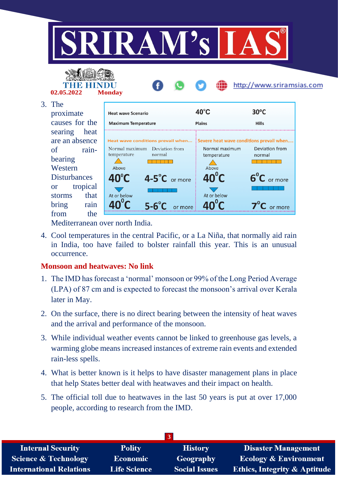



#### 3. The

proximate causes for the searing hea are an absence of rainbearing Western **Disturbances** or tropica storms that bring rain from the

| <b>Heat wave Scenario</b>              |                            | $40^{\circ}$ C                         | 30°C                                                                       |
|----------------------------------------|----------------------------|----------------------------------------|----------------------------------------------------------------------------|
|                                        | <b>Maximum Temperature</b> | <b>Plains</b>                          | <b>Hills</b>                                                               |
|                                        |                            |                                        |                                                                            |
|                                        |                            |                                        | Heat wave conditions prevail when Severe heat wave conditions prevail when |
| Normal maximum<br>temperature<br>Above | Deviation from<br>normal   | Normal maximum<br>temperature<br>Above | Deviation from<br>normal                                                   |
| $40^{\circ}$ C                         | 4-5°C or more              | $40^{\circ}$ C                         | $6^{\circ}C$ or more                                                       |
| At or below                            |                            | At or below                            |                                                                            |
|                                        | $5 - 6^\circ$              |                                        |                                                                            |

http://www.sriramsias.com

Mediterranean over north India.

4. Cool temperatures in the central Pacific, or a La Niña, that normally aid rain in India, too have failed to bolster rainfall this year. This is an unusual occurrence.

## **Monsoon and heatwaves: No link**

- 1. The IMD has forecast a 'normal' monsoon or 99% of the Long Period Average (LPA) of 87 cm and is expected to forecast the monsoon's arrival over Kerala later in May.
- 2. On the surface, there is no direct bearing between the intensity of heat waves and the arrival and performance of the monsoon.
- 3. While individual weather events cannot be linked to greenhouse gas levels, a warming globe means increased instances of extreme rain events and extended rain-less spells.
- 4. What is better known is it helps to have disaster management plans in place that help States better deal with heatwaves and their impact on health.
- 5. The official toll due to heatwaves in the last 50 years is put at over 17,000 people, according to research from the IMD.

| <b>Internal Security</b>        | <b>Polity</b>       | <b>History</b>       | <b>Disaster Management</b>              |
|---------------------------------|---------------------|----------------------|-----------------------------------------|
| <b>Science &amp; Technology</b> | <b>Economic</b>     | Geography            | <b>Ecology &amp; Environment</b>        |
| <b>International Relations</b>  | <b>Life Science</b> | <b>Social Issues</b> | <b>Ethics, Integrity &amp; Aptitude</b> |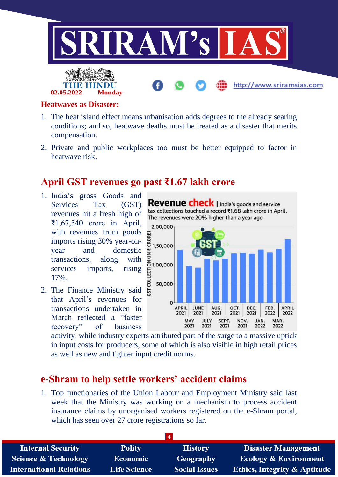

#### **Heatwaves as Disaster:**

**02.05.2022 Monday**

- 1. The heat island effect means urbanisation adds degrees to the already searing conditions; and so, heatwave deaths must be treated as a disaster that merits compensation.
- 2. Private and public workplaces too must be better equipped to factor in heatwave risk.

## **April GST revenues go past ₹1.67 lakh crore**

- 1. India's gross Goods and Services Tax (GST) revenues hit a fresh high of ₹1,67,540 crore in April, with revenues from goods  $\frac{2}{9}$ <br>imports rising 30% year-on-<br>domestic  $\frac{8}{9}$  1,50,000 imports rising 30% year-onyear and domestic transactions, along with services imports, rising 17%.
- 2. The Finance Ministry said that April's revenues for transactions undertaken in March reflected a "faster recovery" of business

Revenue check | India's goods and service tax collections touched a record ₹1.68 lakh crore in April. The revenues were 20% higher than a year ago 2,00,000 즐 1,00,000<br>답 g 50,000 TS.  $\sqrt{2}$ JUNE **APRIL APRIL** AUG. OCT. DEC. FEB. 2021 2021 2021 2021 2021 2022 2022 JULY NOV. MAY SEPT. JAN. MAR. 2021 2021 2021 2021 2022 2022

activity, while industry experts attributed part of the surge to a massive uptick in input costs for producers, some of which is also visible in high retail prices as well as new and tighter input credit norms.

## **e-Shram to help settle workers' accident claims**

1. Top functionaries of the Union Labour and Employment Ministry said last week that the Ministry was working on a mechanism to process accident insurance claims by unorganised workers registered on the e-Shram portal, which has seen over 27 crore registrations so far.

| <b>Internal Security</b>        | <b>Polity</b>       | <b>History</b>       | <b>Disaster Management</b>              |
|---------------------------------|---------------------|----------------------|-----------------------------------------|
| <b>Science &amp; Technology</b> | Economic            | Geography            | <b>Ecology &amp; Environment</b>        |
| <b>International Relations</b>  | <b>Life Science</b> | <b>Social Issues</b> | <b>Ethics, Integrity &amp; Aptitude</b> |